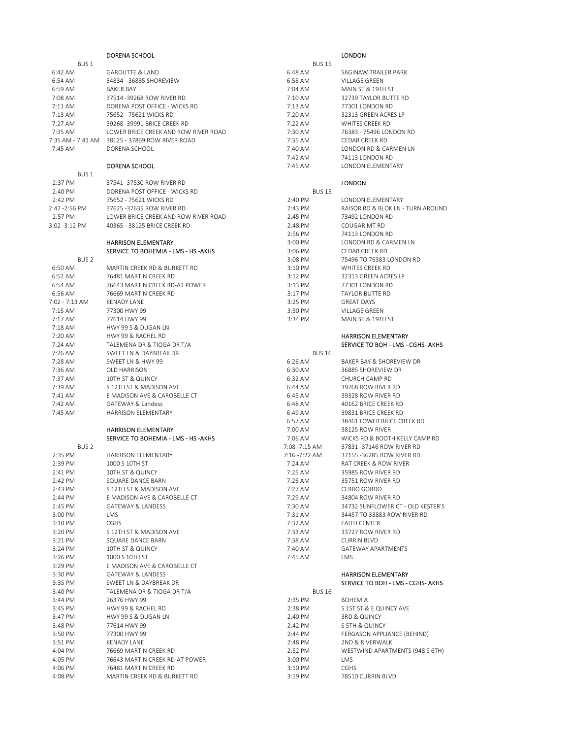|                    | DORENA SCHOOL                                              |                          | <b>LONDON</b>                     |
|--------------------|------------------------------------------------------------|--------------------------|-----------------------------------|
| BUS <sub>1</sub>   |                                                            | <b>BUS 15</b>            |                                   |
| 6:42 AM            | <b>GAROUTTE &amp; LAND</b>                                 | 6:48 AM                  | SAGINAW TRAILER PARK              |
| 6:54 AM            | 34834 - 36885 SHOREVIEW                                    | 6:58 AM                  | VILLAGE GREEN                     |
| 6:59 AM            | <b>BAKER BAY</b>                                           | 7:04 AM                  | MAIN ST & 19TH ST                 |
| 7:08 AM            | 37514 -39268 ROW RIVER RD                                  | 7:10 AM                  | 32739 TAYLOR BUTTE RD             |
| 7:11AM             | DORENA POST OFFICE - WICKS RD                              | 7:13 AM                  | 77301 LONDON RD                   |
| 7:13 AM            | 75652 - 75621 WICKS RD                                     | 7:20 AM                  | 32313 GREEN ACRES LP              |
| 7:27 AM            | 39268 - 39991 BRICE CREEK RD                               | 7:22 AM                  | <b>WHITES CREEK RD</b>            |
| 7:35 AM            | LOWER BRICE CREEK AND ROW RIVER ROAD                       | 7:30 AM                  | 76383 - 75496 LONDON RD           |
|                    | 7:35 AM - 7:41 AM 38125 - 37869 ROW RIVER ROAD             | 7:35 AM                  | CEDAR CREEK RD                    |
| 7:45 AM            | DORENA SCHOOL                                              | 7:40 AM                  | LONDON RD & CARMEN LN             |
|                    |                                                            | 7:42 AM                  | 74113 LONDON RD                   |
|                    | <b>DORENA SCHOOL</b>                                       | 7:45 AM                  | <b>LONDON ELEMENTARY</b>          |
| BUS <sub>1</sub>   |                                                            |                          |                                   |
| 2:37 PM            | 37541 -37530 ROW RIVER RD<br>DORENA POST OFFICE - WICKS RD |                          | <b>LONDON</b>                     |
| 2:40 PM<br>2:42 PM | 75652 - 75621 WICKS RD                                     | <b>BUS 15</b><br>2:40 PM | LONDON ELEMENTARY                 |
| 2:47 - 2:56 PM     | 37625 -37635 ROW RIVER RD                                  | 2:43 PM                  | RAISOR RD & BLOK LN - TURN AROUND |
| 2:57 PM            | LOWER BRICE CREEK AND ROW RIVER ROAD                       | 2:45 PM                  | 73492 LONDON RD                   |
| $3:02 - 3:12$ PM   | 40365 - 38125 BRICE CREEK RD                               | 2:48 PM                  | COUGAR MT RD                      |
|                    |                                                            | 2:56 PM                  | 74113 LONDON RD                   |
|                    | <b>HARRISON ELEMENTARY</b>                                 | 3:00 PM                  | LONDON RD & CARMEN LN             |
|                    | SERVICE TO BOHEMIA - LMS - HS - AKHS                       | 3:06 PM                  | CEDAR CREEK RD                    |
| BUS <sub>2</sub>   |                                                            | 3:08 PM                  | 75496 TO 76383 LONDON RD          |
| 6:50 AM            | MARTIN CREEK RD & BURKETT RD                               | 3:10 PM                  | WHITES CREEK RD                   |
| 6:52 AM            | 76481 MARTIN CREEK RD                                      | 3:12 PM                  | 32313 GREEN ACRES LP              |
| 6:54 AM            | 76643 MARTIN CREEK RD-AT POWER                             | 3:13 PM                  | 77301 LONDON RD                   |
| 6:56 AM            | 76669 MARTIN CREEK RD                                      | 3:17 PM                  | <b>TAYLOR BUTTE RD</b>            |
| 7:02 - 7:13 AM     | <b>KFNADY LANF</b>                                         | 3:25 PM                  | <b>GREAT DAYS</b>                 |
| 7:15 AM            | 77300 HWY 99                                               | 3:30 PM                  | VILLAGE GREEN                     |
| 7:17 AM            | 77614 HWY 99                                               | 3:34 PM                  | MAIN ST & 19TH ST                 |
| 7:18 AM            | HWY 99 S & DUGAN LN                                        |                          |                                   |
| 7:20 AM            | HWY 99 & RACHEL RD                                         |                          | <b>HARRISON ELEMENTARY</b>        |
| 7:24 AM            | TALEMENA DR & TIOGA DR T/A                                 |                          | SERVICE TO BOH - LMS - CGHS- AKHS |
| 7:26 AM            | SWEET LN & DAYBREAK DR                                     | <b>BUS 16</b>            |                                   |
| 7:28 AM            | SWEET LN & HWY 99                                          | 6:26 AM                  | BAKER BAY & SHOREVIEW DR          |
| 7:36 AM            | OLD HARRISON                                               | 6:30 AM                  | 36885 SHOREVIEW DR                |
| 7:37 AM            | 10TH ST & QUINCY                                           | 6:32 AM                  | CHURCH CAMP RD                    |
| 7:39 AM            | S 12TH ST & MADISON AVE                                    | 6:44 AM                  | 39268 ROW RIVER RD                |
| 7:41 AM            | E MADISON AVE & CAROBELLE CT                               | 6:45 AM                  | 39328 ROW RIVER RD                |
| 7:42 AM            | GATEWAY & Landess                                          | 6:48 AM                  | 40162 BRICE CREEK RD              |
| $7:45$ AM          | <b>HARRISON ELEMENTARY</b>                                 | 6:49 AM                  | 39831 BRICE CREEK RD              |
|                    |                                                            | 6:57 AM                  | 38461 LOWER BRICE CREEK RD        |
|                    | <b>HARRISON ELEMENTARY</b>                                 | 7:00 AM                  | 38125 ROW RIVER                   |
|                    | SERVICE TO BOHEMIA - LMS - HS - AKHS                       | 7:06 AM                  | WICKS RD & BOOTH KELLY CAMP RD    |
| BUS <sub>2</sub>   |                                                            | 7:08 - 7:15 AM           | 37831 -37146 ROW RIVER RD         |
| 2:35 PM            | <b>HARRISON ELEMENTARY</b>                                 | 7:16 - 7:22 AM           | 37155 -36285 ROW RIVER RD         |
| 2:39 PM            | 1000 S 10TH ST                                             | 7:24 AM                  | RAT CREEK & ROW RIVER             |
| 2:41 PM            | 10TH ST & QUINCY                                           | 7:25 AM                  | 35985 ROW RIVER RD                |
| 2:42 PM            | SQUARE DANCE BARN                                          | 7:26 AM                  | 35751 ROW RIVER RD                |
| 2:43 PM            | S 12TH ST & MADISON AVE                                    | 7:27 AM                  | CERRO GORDO                       |
| 2:44 PM            | E MADISON AVE & CAROBELLE CT                               | 7:29 AM                  | 34804 ROW RIVER RD                |
| 2:45 PM            | <b>GATEWAY &amp; LANDESS</b>                               | 7:30 AM                  | 34732 SUNFLOWER CT - OLD KESTER'S |
| 3:00 PM            | LMS                                                        | 7:31 AM                  | 34457 TO 33883 ROW RIVER RD       |
| 3:10 PM            | <b>CGHS</b>                                                | 7:32 AM                  | <b>FAITH CENTER</b>               |
| 3:20 PM            | S 12TH ST & MADISON AVE                                    | 7:33 AM                  | 33727 ROW RIVER RD                |
| 3:21 PM            | SQUARE DANCE BARN                                          | 7:38 AM                  | <b>CURRIN BLVD</b>                |
| 3:24 PM            | 10TH ST & QUINCY                                           | 7:40 AM                  | <b>GATEWAY APARTMENTS</b>         |
| 3:26 PM            | 1000 S 10TH ST                                             | 7:45 AM                  | <b>LMS</b>                        |
| 3:29 PM            | E MADISON AVE & CAROBELLE CT                               |                          |                                   |
| 3:30 PM            | <b>GATEWAY &amp; LANDESS</b>                               |                          | <b>HARRISON ELEMENTARY</b>        |
| 3:35 PM            | SWEET LN & DAYBREAK DR                                     |                          | SERVICE TO BOH - LMS - CGHS- AKHS |
| 3:40 PM            | TALEMENA DR & TIOGA DR T/A                                 | <b>BUS 16</b>            |                                   |
| 3:44 PM            | 26376 HWY 99                                               | 2:35 PM                  | <b>BOHEMIA</b>                    |
| 3:45 PM            | HWY 99 & RACHEL RD                                         | 2:38 PM                  | S 1ST ST & E QUINCY AVE           |
| 3:47 PM            | HWY 99 S & DUGAN LN                                        | 2:40 PM                  | 3RD & QUINCY                      |
| 3:48 PM            | 77614 HWY 99                                               | 2:42 PM                  | S 5TH & QUINCY                    |
| 3:50 PM            | 77300 HWY 99                                               | 2:44 PM                  | FERGASON APPLIANCE (BEHIND)       |
| 3:51 PM            | <b>KENADY LANE</b>                                         | 2:48 PM                  | 2ND & RIVERWALK                   |
| 4:04 PM            | 76669 MARTIN CREEK RD                                      | 2:52 PM                  | WESTWIND APARTMENTS (948 S 6TH)   |
| 4:05 PM            | 76643 MARTIN CREEK RD-AT POWER                             | 3:00 PM                  | LMS                               |
| 4:06 PM            | 76481 MARTIN CREEK RD                                      | 3:10 PM                  | <b>CGHS</b>                       |
| 4:08 PM            | MARTIN CREEK RD & BURKETT RD                               | 3:19 PM                  | 78510 CURRIN BLVD                 |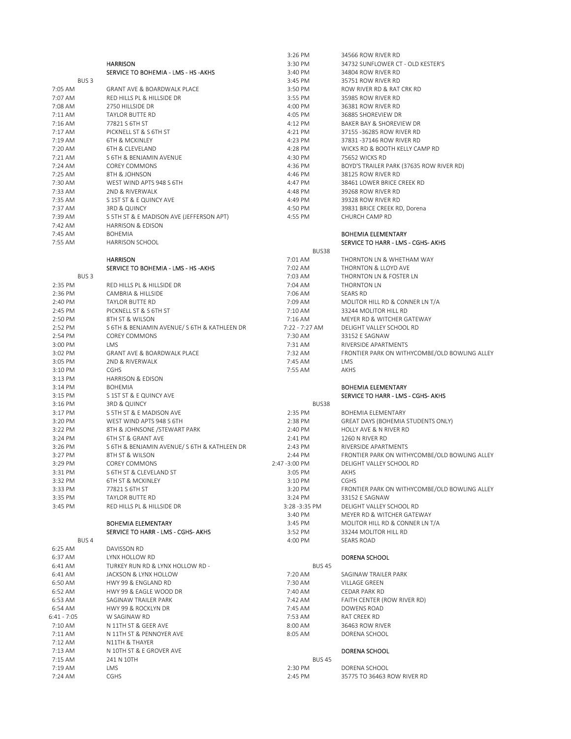|                             |                                                | 3:26 PM            | 34566 ROW RIVER RD                                       |
|-----------------------------|------------------------------------------------|--------------------|----------------------------------------------------------|
|                             | <b>HARRISON</b>                                | 3:30 PM            | 34732 SUNFLOWER CT - OLD KESTER'S                        |
|                             | SERVICE TO BOHEMIA - LMS - HS -AKHS            | 3:40 PM            | 34804 ROW RIVER RD                                       |
| BUS <sub>3</sub>            |                                                | 3:45 PM            | 35751 ROW RIVER RD                                       |
| 7:05 AM                     | <b>GRANT AVE &amp; BOARDWALK PLACE</b>         | 3:50 PM            | ROW RIVER RD & RAT CRK RD                                |
| 7:07 AM                     | RED HILLS PL & HILLSIDE DR                     | 3:55 PM            | 35985 ROW RIVER RD                                       |
| 7:08 AM                     | 2750 HILLSIDE DR                               | 4:00 PM            | 36381 ROW RIVER RD                                       |
| 7:11 AM                     | TAYLOR BUTTE RD                                | 4:05 PM            | 36885 SHOREVIEW DR                                       |
| 7:16 AM                     | 77821 S 6TH ST                                 | 4:12 PM            | BAKER BAY & SHOREVIEW DR                                 |
| 7:17 AM                     | PICKNELL ST & S 6TH ST                         | 4:21 PM            | 37155 -36285 ROW RIVER RD                                |
| 7:19 AM                     | <b>6TH &amp; MCKINLEY</b>                      | 4:23 PM            | 37831-37146 ROW RIVER RD                                 |
| 7:20 AM                     | 6TH & CLEVELAND                                | 4:28 PM            | WICKS RD & BOOTH KELLY CAMP RD                           |
| 7:21 AM                     | S 6TH & BENJAMIN AVENUE                        | 4:30 PM            | 75652 WICKS RD                                           |
| 7:24 AM                     | <b>COREY COMMONS</b>                           | 4:36 PM            | BOYD'S TRAILER PARK (37635 ROW RIVER RD)                 |
| 7:25 AM                     | 8TH & JOHNSON                                  | 4:46 PM            | 38125 ROW RIVER RD                                       |
| 7:30 AM                     | WEST WIND APTS 948 S 6TH                       | 4:47 PM            | 38461 LOWER BRICE CREEK RD                               |
| 7:33 AM                     | 2ND & RIVERWALK                                | 4:48 PM            | 39268 ROW RIVER RD                                       |
| 7:35 AM                     | S 1ST ST & E QUINCY AVE                        | 4:49 PM            | 39328 ROW RIVER RD                                       |
| 7:37 AM                     | 3RD & QUINCY                                   | 4:50 PM            | 39831 BRICE CREEK RD, Dorena                             |
| 7:39 AM                     | S 5TH ST & E MADISON AVE (JEFFERSON APT)       | 4:55 PM            | CHURCH CAMP RD                                           |
| 7:42 AM                     | <b>HARRISON &amp; EDISON</b>                   |                    |                                                          |
| 7:45 AM                     | <b>BOHEMIA</b>                                 |                    | <b>BOHEMIA ELEMENTARY</b>                                |
| 7:55 AM                     | <b>HARRISON SCHOOL</b>                         |                    | SERVICE TO HARR - LMS - CGHS- AKHS                       |
|                             |                                                | BUS38              |                                                          |
|                             | <b>HARRISON</b>                                | 7:01 AM            | THORNTON LN & WHETHAM WAY                                |
|                             | SERVICE TO BOHEMIA - LMS - HS - AKHS           | 7:02 AM            | THORNTON & LLOYD AVE                                     |
| BUS <sub>3</sub>            |                                                | 7:03 AM            | THORNTON LN & FOSTER LN                                  |
| 2:35 PM                     | RED HILLS PL & HILLSIDE DR                     | 7:04 AM            | THORNTON LN                                              |
| 2:36 PM                     | CAMBRIA & HILLSIDE                             | 7:06 AM            | <b>SEARS RD</b>                                          |
| 2:40 PM                     | TAYLOR BUTTE RD                                | 7:09 AM            | MOLITOR HILL RD & CONNER LN T/A                          |
| 2:45 PM                     | PICKNELL ST & S 6TH ST                         | 7:10 AM            | 33244 MOLITOR HILL RD                                    |
| 2:50 PM                     | 8TH ST & WILSON                                | 7:16 AM            | MEYER RD & WITCHER GATEWAY                               |
| 2:52 PM                     | S 6TH & BENJAMIN AVENUE/S 6TH & KATHLEEN DR    | 7:22 - 7:27 AM     | DELIGHT VALLEY SCHOOL RD                                 |
| 2:54 PM                     | <b>COREY COMMONS</b>                           | 7:30 AM            | 33152 E SAGNAW                                           |
| 3:00 PM                     | LMS                                            | 7:31 AM            | RIVERSIDE APARTMENTS                                     |
| 3:02 PM                     | <b>GRANT AVE &amp; BOARDWALK PLACE</b>         | 7:32 AM            | FRONTIER PARK ON WITHYCOMBE/OLD BOWLING ALLEY            |
| 3:05 PM                     | 2ND & RIVERWALK                                | 7:45 AM            | <b>LMS</b>                                               |
| 3:10 PM                     | <b>CGHS</b>                                    | 7:55 AM            | AKHS                                                     |
| 3:13 PM                     | <b>HARRISON &amp; EDISON</b>                   |                    |                                                          |
| 3:14 PM                     | <b>BOHEMIA</b>                                 |                    | <b>BOHEMIA ELEMENTARY</b>                                |
| 3:15 PM                     | S 1ST ST & E QUINCY AVE                        |                    | SERVICE TO HARR - LMS - CGHS- AKHS                       |
| 3:16 PM                     | 3RD & QUINCY                                   | BUS38              |                                                          |
| 3:17 PM                     | S 5TH ST & E MADISON AVE                       | 2:35 PM            | <b>BOHEMIA ELEMENTARY</b>                                |
| 3:20 PM                     | WEST WIND APTS 948 S 6TH                       | 2:38 PM            | GREAT DAYS (BOHEMIA STUDENTS ONLY)                       |
| 3:22 PM                     | 8TH & JOHNSONE / STEWART PARK                  | 2:40 PM            | HOLLY AVE & N RIVER RD                                   |
| 3:24 PM                     | 6TH ST & GRANT AVE                             | 2:41 PM            | 1260 N RIVER RD                                          |
| 3:26 PM                     | S 6TH & BENJAMIN AVENUE/S 6TH & KATHLEEN DR    | 2:43 PM            | RIVERSIDE APARTMENTS                                     |
| 3:27 PM                     | 8TH ST & WILSON                                | 2:44 PM            | FRONTIER PARK ON WITHYCOMBE/OLD BOWLING ALLEY            |
| 3:29 PM                     | <b>COREY COMMONS</b>                           | 2:47 - 3:00 PM     | DELIGHT VALLEY SCHOOL RD                                 |
| 3:31 PM                     | S 6TH ST & CLEVELAND ST                        | 3:05 PM            | AKHS                                                     |
| 3:32 PM                     | 6TH ST & MCKINLEY                              | 3:10 PM            | CGHS                                                     |
| 3:33 PM                     | 77821 S 6TH ST                                 | 3:20 PM            | FRONTIER PARK ON WITHYCOMBE/OLD BOWLING ALLEY            |
| 3:35 PM                     | TAYLOR BUTTE RD                                | 3:24 PM            | 33152 E SAGNAW                                           |
| 3:45 PM                     | RED HILLS PL & HILLSIDE DR                     | 3:28 - 3:35 PM     | DELIGHT VALLEY SCHOOL RD                                 |
|                             |                                                | 3:40 PM            | MEYER RD & WITCHER GATEWAY                               |
|                             | <b>BOHEMIA ELEMENTARY</b>                      | 3:45 PM            | MOLITOR HILL RD & CONNER LN T/A<br>33244 MOLITOR HILL RD |
|                             | SERVICE TO HARR - LMS - CGHS- AKHS             | 3:52 PM            |                                                          |
| BUS <sub>4</sub><br>6:25 AM | DAVISSON RD                                    | 4:00 PM            | SEARS ROAD                                               |
| 6:37 AM                     | LYNX HOLLOW RD                                 |                    | DORENA SCHOOL                                            |
| 6:41 AM                     | TURKEY RUN RD & LYNX HOLLOW RD -               | <b>BUS 45</b>      |                                                          |
| 6:41 AM                     | JACKSON & LYNX HOLLOW                          | 7:20 AM            | SAGINAW TRAILER PARK                                     |
|                             | HWY 99 & ENGLAND RD                            | 7:30 AM            |                                                          |
| 6:50 AM                     |                                                |                    | VILLAGE GREEN                                            |
| 6:52 AM<br>6:53 AM          | HWY 99 & EAGLE WOOD DR<br>SAGINAW TRAILER PARK | 7:40 AM<br>7:42 AM | CEDAR PARK RD<br>FAITH CENTER (ROW RIVER RD)             |
| 6:54 AM                     | HWY 99 & ROCKLYN DR                            | 7:45 AM            | DOWENS ROAD                                              |
| 6:41 - 7:05                 | W SAGINAW RD                                   | 7:53 AM            | RAT CREEK RD                                             |
| 7:10 AM                     | N 11TH ST & GEER AVE                           | 8:00 AM            | 36463 ROW RIVER                                          |
| 7:11 AM                     | N 11TH ST & PENNOYER AVE                       | 8:05 AM            | DORENA SCHOOL                                            |
| 7:12 AM                     | N11TH & THAYER                                 |                    |                                                          |
| 7:13 AM                     | N 10TH ST & E GROVER AVE                       |                    | DORENA SCHOOL                                            |
| 7:15 AM                     | 241 N 10TH                                     | <b>BUS 45</b>      |                                                          |
| 7:19 AM                     | LMS                                            | 2:30 PM            | DORENA SCHOOL                                            |
| 7:24 AM                     | <b>CGHS</b>                                    | 2:45 PM            | 35775 TO 36463 ROW RIVER RD                              |
|                             |                                                |                    |                                                          |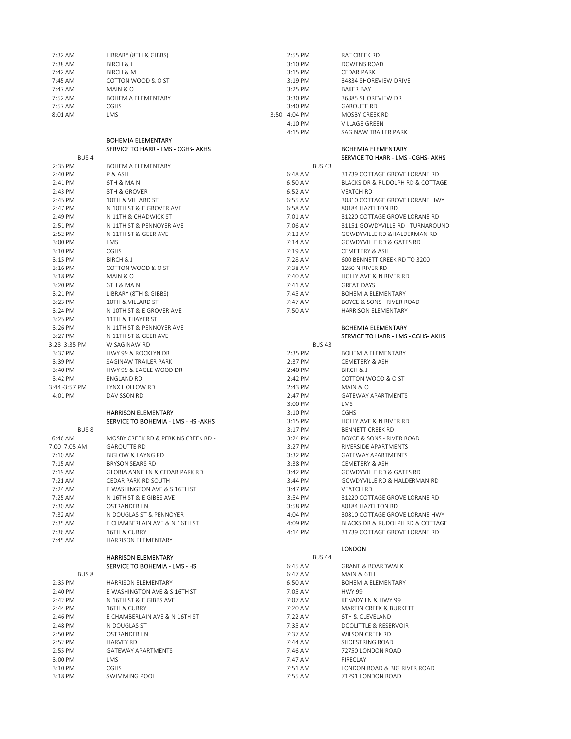| 7:38 AM<br>BIRCH & J<br>3:10 PM<br>DOWENS ROAD<br>7:42 AM<br><b>BIRCH &amp; M</b><br>3:15 PM<br><b>CEDAR PARK</b><br>7:45 AM<br>COTTON WOOD & O ST<br>3:19 PM<br>34834 SHOREVIEW DRIVE<br>7:47 AM<br>3:25 PM<br>MAIN & O<br><b>BAKER BAY</b><br>7:52 AM<br><b>BOHEMIA ELEMENTARY</b><br>3:30 PM<br>36885 SHOREVIEW DR<br>7:57 AM<br>CGHS<br>3:40 PM<br><b>GAROUTE RD</b><br>LMS<br>8:01 AM<br>3:50 - 4:04 PM<br>MOSBY CREEK RD<br>4:10 PM<br>VILLAGE GREEN<br>4:15 PM<br>SAGINAW TRAILER PARK<br><b>BOHEMIA ELEMENTARY</b><br>SERVICE TO HARR - LMS - CGHS- AKHS<br><b>BOHEMIA ELEMENTARY</b><br>BUS <sub>4</sub><br>2:35 PM<br><b>BUS43</b><br><b>BOHEMIA ELEMENTARY</b><br>2:40 PM<br>6:48 AM<br>P & ASH<br>31739 COTTAGE GROVE LORANE RD<br><b>6TH &amp; MAIN</b><br>6:50 AM<br>2:41 PM<br>BLACKS DR & RUDOLPH RD & COTTAGE<br>2:43 PM<br>8TH & GROVER<br>6:52 AM<br><b>VEATCH RD</b><br>2:45 PM<br>6:55 AM<br>10TH & VILLARD ST<br>30810 COTTAGE GROVE LORANE HWY<br>2:47 PM<br>N 10TH ST & E GROVER AVE<br>6:58 AM<br>80184 HAZELTON RD<br>2:49 PM<br>N 11TH & CHADWICK ST<br>7:01 AM<br>31220 COTTAGE GROVE LORANE RD<br>2:51 PM<br>N 11TH ST & PENNOYER AVE<br>7:06 AM<br>31151 GOWDYVILLE RD - TURNAROUND<br>2:52 PM<br>N 11TH ST & GEER AVE<br>$7:12$ AM<br>GOWDYVILLE RD & HALDERMAN RD<br>GOWDYVILLE RD & GATES RD<br>3:00 PM<br>LMS<br>7:14 AM<br><b>CGHS</b><br>7:19 AM<br>3:10 PM<br><b>CEMETERY &amp; ASH</b><br>7:28 AM<br>3:15 PM<br>BIRCH & J<br>600 BENNETT CREEK RD TO 3200<br>COTTON WOOD & O ST<br>7:38 AM<br>$3:16$ PM<br>1260 N RIVER RD<br>3:18 PM<br>7:40 AM<br>HOLLY AVE & N RIVER RD<br>MAIN & O<br>3:20 PM<br>7:41 AM<br>6TH & MAIN<br><b>GREAT DAYS</b><br>3:21 PM<br>LIBRARY (8TH & GIBBS)<br>7:45 AM<br><b>BOHEMIA ELEMENTARY</b><br>3:23 PM<br>10TH & VILLARD ST<br>7:47 AM<br>BOYCE & SONS - RIVER ROAD<br>3:24 PM<br>N 10TH ST & E GROVER AVE<br>7:50 AM<br><b>HARRISON ELEMENTARY</b><br>3:25 PM<br>11TH & THAYER ST<br>3:26 PM<br>N 11TH ST & PENNOYER AVE<br><b>BOHEMIA ELEMENTARY</b><br>3:27 PM<br>N 11TH ST & GEER AVE<br><b>BUS 43</b><br>3:28 -3:35 PM<br>W SAGINAW RD<br>3:37 PM<br>2:35 PM<br><b>HWY 99 &amp; ROCKLYN DR</b><br><b>BOHEMIA ELEMENTARY</b><br>3:39 PM<br>SAGINAW TRAILER PARK<br>2:37 PM<br>CEMETERY & ASH<br>3:40 PM<br>HWY 99 & EAGLE WOOD DR<br>2:40 PM<br>BIRCH & J<br>3:42 PM<br>2:42 PM<br>COTTON WOOD & O ST<br>ENGLAND RD<br>3:44 -3:57 PM<br>LYNX HOLLOW RD<br>2:43 PM<br>MAIN & O<br>4:01 PM<br><b>GATEWAY APARTMENTS</b><br>DAVISSON RD<br>2:47 PM<br><b>LMS</b><br>3:00 PM<br><b>HARRISON ELEMENTARY</b><br>CGHS<br>3:10 PM<br>SERVICE TO BOHEMIA - LMS - HS -AKHS<br>3:15 PM<br>HOLLY AVE & N RIVER RD<br>BUS <sub>8</sub><br>3:17 PM<br><b>BENNETT CREEK RD</b><br>6:46 AM<br>MOSBY CREEK RD & PERKINS CREEK RD -<br>3:24 PM<br>BOYCE & SONS - RIVER ROAD<br>7:00 -7:05 AM<br><b>GAROUTTE RD</b><br>3:27 PM<br>RIVERSIDE APARTMENTS<br>$7:10$ AM<br><b>BIGLOW &amp; LAYNG RD</b><br>3:32 PM<br><b>GATEWAY APARTMENTS</b><br>$7:15$ AM<br><b>BRYSON SEARS RD</b><br>3:38 PM<br>CEMETERY & ASH<br>7:19 AM<br>3:42 PM<br>GOWDYVILLE RD & GATES RD<br>GLORIA ANNE LN & CEDAR PARK RD<br>CEDAR PARK RD SOUTH<br>GOWDYVILLE RD & HALDERMAN RD<br>7:21 AM<br>3:44 PM<br>7:24 AM<br>E WASHINGTON AVE & S 16TH ST<br>3:47 PM<br><b>VEATCH RD</b><br>7:25 AM<br>N 16TH ST & E GIBBS AVE<br>3:54 PM<br>31220 COTTAGE GROVE LORANE RD<br>7:30 AM<br>OSTRANDER LN<br>80184 HAZELTON RD<br>3:58 PM<br>7:32 AM<br>N DOUGLAS ST & PENNOYER<br>30810 COTTAGE GROVE LORANE HWY<br>4:04 PM<br>7:35 AM<br>E CHAMBERLAIN AVE & N 16TH ST<br>4:09 PM<br>BLACKS DR & RUDOLPH RD & COTTAGE<br>7:36 AM<br>16TH & CURRY<br>4:14 PM<br>31739 COTTAGE GROVE LORANE RD<br>7:45 AM<br>HARRISON ELEMENTARY<br><b>LONDON</b><br><b>BUS 44</b><br><b>HARRISON ELEMENTARY</b><br>SERVICE TO BOHEMIA - LMS - HS<br>6:45 AM<br><b>GRANT &amp; BOARDWALK</b><br>BUS <sub>8</sub><br>6:47 AM<br>MAIN & 6TH<br>2:35 PM<br>HARRISON ELEMENTARY<br>6:50 AM<br>BOHEMIA ELEMENTARY<br>2:40 PM<br>E WASHINGTON AVE & S 16TH ST<br>7:05 AM<br><b>HWY 99</b><br>2:42 PM<br>N 16TH ST & E GIBBS AVE<br>7:07 AM<br>KENADY LN & HWY 99<br>2:44 PM<br>7:20 AM<br>MARTIN CREEK & BURKETT<br>16TH & CURRY<br>2:46 PM<br>E CHAMBERLAIN AVE & N 16TH ST<br>7:22 AM<br>6TH & CLEVELAND<br>2:48 PM<br>N DOUGLAS ST<br>7:35 AM<br>DOOLITTLE & RESERVOIR<br>2:50 PM<br>7:37 AM<br>OSTRANDER LN<br>WILSON CREEK RD<br>2:52 PM<br>7:44 AM<br>SHOESTRING ROAD<br>HARVEY RD<br>2:55 PM<br>GATEWAY APARTMENTS<br>72750 LONDON ROAD<br>7:46 AM<br>3:00 PM<br>7:47 AM<br>LMS<br>FIRECLAY<br>3:10 PM<br><b>CGHS</b><br>7:51 AM<br>7:55 AM<br>3:18 PM<br>SWIMMING POOL<br>71291 LONDON ROAD | 7:32 AM | LIBRARY (8TH & GIBBS) | 2:55 PM | RAT CREEK RD                       |
|----------------------------------------------------------------------------------------------------------------------------------------------------------------------------------------------------------------------------------------------------------------------------------------------------------------------------------------------------------------------------------------------------------------------------------------------------------------------------------------------------------------------------------------------------------------------------------------------------------------------------------------------------------------------------------------------------------------------------------------------------------------------------------------------------------------------------------------------------------------------------------------------------------------------------------------------------------------------------------------------------------------------------------------------------------------------------------------------------------------------------------------------------------------------------------------------------------------------------------------------------------------------------------------------------------------------------------------------------------------------------------------------------------------------------------------------------------------------------------------------------------------------------------------------------------------------------------------------------------------------------------------------------------------------------------------------------------------------------------------------------------------------------------------------------------------------------------------------------------------------------------------------------------------------------------------------------------------------------------------------------------------------------------------------------------------------------------------------------------------------------------------------------------------------------------------------------------------------------------------------------------------------------------------------------------------------------------------------------------------------------------------------------------------------------------------------------------------------------------------------------------------------------------------------------------------------------------------------------------------------------------------------------------------------------------------------------------------------------------------------------------------------------------------------------------------------------------------------------------------------------------------------------------------------------------------------------------------------------------------------------------------------------------------------------------------------------------------------------------------------------------------------------------------------------------------------------------------------------------------------------------------------------------------------------------------------------------------------------------------------------------------------------------------------------------------------------------------------------------------------------------------------------------------------------------------------------------------------------------------------------------------------------------------------------------------------------------------------------------------------------------------------------------------------------------------------------------------------------------------------------------------------------------------------------------------------------------------------------------------------------------------------------------------------------------------------------------------------------------------------------------------------------------------------------------------------------------------------------------------------------------------------------------------------------------------------------------------------------------------------------------------------------------------------------------------------------------------------------------------------------------------------------------------------------------------------------------------------------------------------------------------------------------------------------------------------------|---------|-----------------------|---------|------------------------------------|
|                                                                                                                                                                                                                                                                                                                                                                                                                                                                                                                                                                                                                                                                                                                                                                                                                                                                                                                                                                                                                                                                                                                                                                                                                                                                                                                                                                                                                                                                                                                                                                                                                                                                                                                                                                                                                                                                                                                                                                                                                                                                                                                                                                                                                                                                                                                                                                                                                                                                                                                                                                                                                                                                                                                                                                                                                                                                                                                                                                                                                                                                                                                                                                                                                                                                                                                                                                                                                                                                                                                                                                                                                                                                                                                                                                                                                                                                                                                                                                                                                                                                                                                                                                                                                                                                                                                                                                                                                                                                                                                                                                                                                                                                                                    |         |                       |         |                                    |
|                                                                                                                                                                                                                                                                                                                                                                                                                                                                                                                                                                                                                                                                                                                                                                                                                                                                                                                                                                                                                                                                                                                                                                                                                                                                                                                                                                                                                                                                                                                                                                                                                                                                                                                                                                                                                                                                                                                                                                                                                                                                                                                                                                                                                                                                                                                                                                                                                                                                                                                                                                                                                                                                                                                                                                                                                                                                                                                                                                                                                                                                                                                                                                                                                                                                                                                                                                                                                                                                                                                                                                                                                                                                                                                                                                                                                                                                                                                                                                                                                                                                                                                                                                                                                                                                                                                                                                                                                                                                                                                                                                                                                                                                                                    |         |                       |         |                                    |
|                                                                                                                                                                                                                                                                                                                                                                                                                                                                                                                                                                                                                                                                                                                                                                                                                                                                                                                                                                                                                                                                                                                                                                                                                                                                                                                                                                                                                                                                                                                                                                                                                                                                                                                                                                                                                                                                                                                                                                                                                                                                                                                                                                                                                                                                                                                                                                                                                                                                                                                                                                                                                                                                                                                                                                                                                                                                                                                                                                                                                                                                                                                                                                                                                                                                                                                                                                                                                                                                                                                                                                                                                                                                                                                                                                                                                                                                                                                                                                                                                                                                                                                                                                                                                                                                                                                                                                                                                                                                                                                                                                                                                                                                                                    |         |                       |         |                                    |
|                                                                                                                                                                                                                                                                                                                                                                                                                                                                                                                                                                                                                                                                                                                                                                                                                                                                                                                                                                                                                                                                                                                                                                                                                                                                                                                                                                                                                                                                                                                                                                                                                                                                                                                                                                                                                                                                                                                                                                                                                                                                                                                                                                                                                                                                                                                                                                                                                                                                                                                                                                                                                                                                                                                                                                                                                                                                                                                                                                                                                                                                                                                                                                                                                                                                                                                                                                                                                                                                                                                                                                                                                                                                                                                                                                                                                                                                                                                                                                                                                                                                                                                                                                                                                                                                                                                                                                                                                                                                                                                                                                                                                                                                                                    |         |                       |         |                                    |
|                                                                                                                                                                                                                                                                                                                                                                                                                                                                                                                                                                                                                                                                                                                                                                                                                                                                                                                                                                                                                                                                                                                                                                                                                                                                                                                                                                                                                                                                                                                                                                                                                                                                                                                                                                                                                                                                                                                                                                                                                                                                                                                                                                                                                                                                                                                                                                                                                                                                                                                                                                                                                                                                                                                                                                                                                                                                                                                                                                                                                                                                                                                                                                                                                                                                                                                                                                                                                                                                                                                                                                                                                                                                                                                                                                                                                                                                                                                                                                                                                                                                                                                                                                                                                                                                                                                                                                                                                                                                                                                                                                                                                                                                                                    |         |                       |         |                                    |
|                                                                                                                                                                                                                                                                                                                                                                                                                                                                                                                                                                                                                                                                                                                                                                                                                                                                                                                                                                                                                                                                                                                                                                                                                                                                                                                                                                                                                                                                                                                                                                                                                                                                                                                                                                                                                                                                                                                                                                                                                                                                                                                                                                                                                                                                                                                                                                                                                                                                                                                                                                                                                                                                                                                                                                                                                                                                                                                                                                                                                                                                                                                                                                                                                                                                                                                                                                                                                                                                                                                                                                                                                                                                                                                                                                                                                                                                                                                                                                                                                                                                                                                                                                                                                                                                                                                                                                                                                                                                                                                                                                                                                                                                                                    |         |                       |         |                                    |
|                                                                                                                                                                                                                                                                                                                                                                                                                                                                                                                                                                                                                                                                                                                                                                                                                                                                                                                                                                                                                                                                                                                                                                                                                                                                                                                                                                                                                                                                                                                                                                                                                                                                                                                                                                                                                                                                                                                                                                                                                                                                                                                                                                                                                                                                                                                                                                                                                                                                                                                                                                                                                                                                                                                                                                                                                                                                                                                                                                                                                                                                                                                                                                                                                                                                                                                                                                                                                                                                                                                                                                                                                                                                                                                                                                                                                                                                                                                                                                                                                                                                                                                                                                                                                                                                                                                                                                                                                                                                                                                                                                                                                                                                                                    |         |                       |         |                                    |
|                                                                                                                                                                                                                                                                                                                                                                                                                                                                                                                                                                                                                                                                                                                                                                                                                                                                                                                                                                                                                                                                                                                                                                                                                                                                                                                                                                                                                                                                                                                                                                                                                                                                                                                                                                                                                                                                                                                                                                                                                                                                                                                                                                                                                                                                                                                                                                                                                                                                                                                                                                                                                                                                                                                                                                                                                                                                                                                                                                                                                                                                                                                                                                                                                                                                                                                                                                                                                                                                                                                                                                                                                                                                                                                                                                                                                                                                                                                                                                                                                                                                                                                                                                                                                                                                                                                                                                                                                                                                                                                                                                                                                                                                                                    |         |                       |         |                                    |
|                                                                                                                                                                                                                                                                                                                                                                                                                                                                                                                                                                                                                                                                                                                                                                                                                                                                                                                                                                                                                                                                                                                                                                                                                                                                                                                                                                                                                                                                                                                                                                                                                                                                                                                                                                                                                                                                                                                                                                                                                                                                                                                                                                                                                                                                                                                                                                                                                                                                                                                                                                                                                                                                                                                                                                                                                                                                                                                                                                                                                                                                                                                                                                                                                                                                                                                                                                                                                                                                                                                                                                                                                                                                                                                                                                                                                                                                                                                                                                                                                                                                                                                                                                                                                                                                                                                                                                                                                                                                                                                                                                                                                                                                                                    |         |                       |         |                                    |
|                                                                                                                                                                                                                                                                                                                                                                                                                                                                                                                                                                                                                                                                                                                                                                                                                                                                                                                                                                                                                                                                                                                                                                                                                                                                                                                                                                                                                                                                                                                                                                                                                                                                                                                                                                                                                                                                                                                                                                                                                                                                                                                                                                                                                                                                                                                                                                                                                                                                                                                                                                                                                                                                                                                                                                                                                                                                                                                                                                                                                                                                                                                                                                                                                                                                                                                                                                                                                                                                                                                                                                                                                                                                                                                                                                                                                                                                                                                                                                                                                                                                                                                                                                                                                                                                                                                                                                                                                                                                                                                                                                                                                                                                                                    |         |                       |         |                                    |
|                                                                                                                                                                                                                                                                                                                                                                                                                                                                                                                                                                                                                                                                                                                                                                                                                                                                                                                                                                                                                                                                                                                                                                                                                                                                                                                                                                                                                                                                                                                                                                                                                                                                                                                                                                                                                                                                                                                                                                                                                                                                                                                                                                                                                                                                                                                                                                                                                                                                                                                                                                                                                                                                                                                                                                                                                                                                                                                                                                                                                                                                                                                                                                                                                                                                                                                                                                                                                                                                                                                                                                                                                                                                                                                                                                                                                                                                                                                                                                                                                                                                                                                                                                                                                                                                                                                                                                                                                                                                                                                                                                                                                                                                                                    |         |                       |         |                                    |
|                                                                                                                                                                                                                                                                                                                                                                                                                                                                                                                                                                                                                                                                                                                                                                                                                                                                                                                                                                                                                                                                                                                                                                                                                                                                                                                                                                                                                                                                                                                                                                                                                                                                                                                                                                                                                                                                                                                                                                                                                                                                                                                                                                                                                                                                                                                                                                                                                                                                                                                                                                                                                                                                                                                                                                                                                                                                                                                                                                                                                                                                                                                                                                                                                                                                                                                                                                                                                                                                                                                                                                                                                                                                                                                                                                                                                                                                                                                                                                                                                                                                                                                                                                                                                                                                                                                                                                                                                                                                                                                                                                                                                                                                                                    |         |                       |         | SERVICE TO HARR - LMS - CGHS- AKHS |
|                                                                                                                                                                                                                                                                                                                                                                                                                                                                                                                                                                                                                                                                                                                                                                                                                                                                                                                                                                                                                                                                                                                                                                                                                                                                                                                                                                                                                                                                                                                                                                                                                                                                                                                                                                                                                                                                                                                                                                                                                                                                                                                                                                                                                                                                                                                                                                                                                                                                                                                                                                                                                                                                                                                                                                                                                                                                                                                                                                                                                                                                                                                                                                                                                                                                                                                                                                                                                                                                                                                                                                                                                                                                                                                                                                                                                                                                                                                                                                                                                                                                                                                                                                                                                                                                                                                                                                                                                                                                                                                                                                                                                                                                                                    |         |                       |         |                                    |
|                                                                                                                                                                                                                                                                                                                                                                                                                                                                                                                                                                                                                                                                                                                                                                                                                                                                                                                                                                                                                                                                                                                                                                                                                                                                                                                                                                                                                                                                                                                                                                                                                                                                                                                                                                                                                                                                                                                                                                                                                                                                                                                                                                                                                                                                                                                                                                                                                                                                                                                                                                                                                                                                                                                                                                                                                                                                                                                                                                                                                                                                                                                                                                                                                                                                                                                                                                                                                                                                                                                                                                                                                                                                                                                                                                                                                                                                                                                                                                                                                                                                                                                                                                                                                                                                                                                                                                                                                                                                                                                                                                                                                                                                                                    |         |                       |         |                                    |
|                                                                                                                                                                                                                                                                                                                                                                                                                                                                                                                                                                                                                                                                                                                                                                                                                                                                                                                                                                                                                                                                                                                                                                                                                                                                                                                                                                                                                                                                                                                                                                                                                                                                                                                                                                                                                                                                                                                                                                                                                                                                                                                                                                                                                                                                                                                                                                                                                                                                                                                                                                                                                                                                                                                                                                                                                                                                                                                                                                                                                                                                                                                                                                                                                                                                                                                                                                                                                                                                                                                                                                                                                                                                                                                                                                                                                                                                                                                                                                                                                                                                                                                                                                                                                                                                                                                                                                                                                                                                                                                                                                                                                                                                                                    |         |                       |         |                                    |
|                                                                                                                                                                                                                                                                                                                                                                                                                                                                                                                                                                                                                                                                                                                                                                                                                                                                                                                                                                                                                                                                                                                                                                                                                                                                                                                                                                                                                                                                                                                                                                                                                                                                                                                                                                                                                                                                                                                                                                                                                                                                                                                                                                                                                                                                                                                                                                                                                                                                                                                                                                                                                                                                                                                                                                                                                                                                                                                                                                                                                                                                                                                                                                                                                                                                                                                                                                                                                                                                                                                                                                                                                                                                                                                                                                                                                                                                                                                                                                                                                                                                                                                                                                                                                                                                                                                                                                                                                                                                                                                                                                                                                                                                                                    |         |                       |         |                                    |
|                                                                                                                                                                                                                                                                                                                                                                                                                                                                                                                                                                                                                                                                                                                                                                                                                                                                                                                                                                                                                                                                                                                                                                                                                                                                                                                                                                                                                                                                                                                                                                                                                                                                                                                                                                                                                                                                                                                                                                                                                                                                                                                                                                                                                                                                                                                                                                                                                                                                                                                                                                                                                                                                                                                                                                                                                                                                                                                                                                                                                                                                                                                                                                                                                                                                                                                                                                                                                                                                                                                                                                                                                                                                                                                                                                                                                                                                                                                                                                                                                                                                                                                                                                                                                                                                                                                                                                                                                                                                                                                                                                                                                                                                                                    |         |                       |         |                                    |
|                                                                                                                                                                                                                                                                                                                                                                                                                                                                                                                                                                                                                                                                                                                                                                                                                                                                                                                                                                                                                                                                                                                                                                                                                                                                                                                                                                                                                                                                                                                                                                                                                                                                                                                                                                                                                                                                                                                                                                                                                                                                                                                                                                                                                                                                                                                                                                                                                                                                                                                                                                                                                                                                                                                                                                                                                                                                                                                                                                                                                                                                                                                                                                                                                                                                                                                                                                                                                                                                                                                                                                                                                                                                                                                                                                                                                                                                                                                                                                                                                                                                                                                                                                                                                                                                                                                                                                                                                                                                                                                                                                                                                                                                                                    |         |                       |         |                                    |
|                                                                                                                                                                                                                                                                                                                                                                                                                                                                                                                                                                                                                                                                                                                                                                                                                                                                                                                                                                                                                                                                                                                                                                                                                                                                                                                                                                                                                                                                                                                                                                                                                                                                                                                                                                                                                                                                                                                                                                                                                                                                                                                                                                                                                                                                                                                                                                                                                                                                                                                                                                                                                                                                                                                                                                                                                                                                                                                                                                                                                                                                                                                                                                                                                                                                                                                                                                                                                                                                                                                                                                                                                                                                                                                                                                                                                                                                                                                                                                                                                                                                                                                                                                                                                                                                                                                                                                                                                                                                                                                                                                                                                                                                                                    |         |                       |         |                                    |
|                                                                                                                                                                                                                                                                                                                                                                                                                                                                                                                                                                                                                                                                                                                                                                                                                                                                                                                                                                                                                                                                                                                                                                                                                                                                                                                                                                                                                                                                                                                                                                                                                                                                                                                                                                                                                                                                                                                                                                                                                                                                                                                                                                                                                                                                                                                                                                                                                                                                                                                                                                                                                                                                                                                                                                                                                                                                                                                                                                                                                                                                                                                                                                                                                                                                                                                                                                                                                                                                                                                                                                                                                                                                                                                                                                                                                                                                                                                                                                                                                                                                                                                                                                                                                                                                                                                                                                                                                                                                                                                                                                                                                                                                                                    |         |                       |         |                                    |
|                                                                                                                                                                                                                                                                                                                                                                                                                                                                                                                                                                                                                                                                                                                                                                                                                                                                                                                                                                                                                                                                                                                                                                                                                                                                                                                                                                                                                                                                                                                                                                                                                                                                                                                                                                                                                                                                                                                                                                                                                                                                                                                                                                                                                                                                                                                                                                                                                                                                                                                                                                                                                                                                                                                                                                                                                                                                                                                                                                                                                                                                                                                                                                                                                                                                                                                                                                                                                                                                                                                                                                                                                                                                                                                                                                                                                                                                                                                                                                                                                                                                                                                                                                                                                                                                                                                                                                                                                                                                                                                                                                                                                                                                                                    |         |                       |         |                                    |
|                                                                                                                                                                                                                                                                                                                                                                                                                                                                                                                                                                                                                                                                                                                                                                                                                                                                                                                                                                                                                                                                                                                                                                                                                                                                                                                                                                                                                                                                                                                                                                                                                                                                                                                                                                                                                                                                                                                                                                                                                                                                                                                                                                                                                                                                                                                                                                                                                                                                                                                                                                                                                                                                                                                                                                                                                                                                                                                                                                                                                                                                                                                                                                                                                                                                                                                                                                                                                                                                                                                                                                                                                                                                                                                                                                                                                                                                                                                                                                                                                                                                                                                                                                                                                                                                                                                                                                                                                                                                                                                                                                                                                                                                                                    |         |                       |         |                                    |
|                                                                                                                                                                                                                                                                                                                                                                                                                                                                                                                                                                                                                                                                                                                                                                                                                                                                                                                                                                                                                                                                                                                                                                                                                                                                                                                                                                                                                                                                                                                                                                                                                                                                                                                                                                                                                                                                                                                                                                                                                                                                                                                                                                                                                                                                                                                                                                                                                                                                                                                                                                                                                                                                                                                                                                                                                                                                                                                                                                                                                                                                                                                                                                                                                                                                                                                                                                                                                                                                                                                                                                                                                                                                                                                                                                                                                                                                                                                                                                                                                                                                                                                                                                                                                                                                                                                                                                                                                                                                                                                                                                                                                                                                                                    |         |                       |         |                                    |
|                                                                                                                                                                                                                                                                                                                                                                                                                                                                                                                                                                                                                                                                                                                                                                                                                                                                                                                                                                                                                                                                                                                                                                                                                                                                                                                                                                                                                                                                                                                                                                                                                                                                                                                                                                                                                                                                                                                                                                                                                                                                                                                                                                                                                                                                                                                                                                                                                                                                                                                                                                                                                                                                                                                                                                                                                                                                                                                                                                                                                                                                                                                                                                                                                                                                                                                                                                                                                                                                                                                                                                                                                                                                                                                                                                                                                                                                                                                                                                                                                                                                                                                                                                                                                                                                                                                                                                                                                                                                                                                                                                                                                                                                                                    |         |                       |         |                                    |
|                                                                                                                                                                                                                                                                                                                                                                                                                                                                                                                                                                                                                                                                                                                                                                                                                                                                                                                                                                                                                                                                                                                                                                                                                                                                                                                                                                                                                                                                                                                                                                                                                                                                                                                                                                                                                                                                                                                                                                                                                                                                                                                                                                                                                                                                                                                                                                                                                                                                                                                                                                                                                                                                                                                                                                                                                                                                                                                                                                                                                                                                                                                                                                                                                                                                                                                                                                                                                                                                                                                                                                                                                                                                                                                                                                                                                                                                                                                                                                                                                                                                                                                                                                                                                                                                                                                                                                                                                                                                                                                                                                                                                                                                                                    |         |                       |         |                                    |
|                                                                                                                                                                                                                                                                                                                                                                                                                                                                                                                                                                                                                                                                                                                                                                                                                                                                                                                                                                                                                                                                                                                                                                                                                                                                                                                                                                                                                                                                                                                                                                                                                                                                                                                                                                                                                                                                                                                                                                                                                                                                                                                                                                                                                                                                                                                                                                                                                                                                                                                                                                                                                                                                                                                                                                                                                                                                                                                                                                                                                                                                                                                                                                                                                                                                                                                                                                                                                                                                                                                                                                                                                                                                                                                                                                                                                                                                                                                                                                                                                                                                                                                                                                                                                                                                                                                                                                                                                                                                                                                                                                                                                                                                                                    |         |                       |         |                                    |
|                                                                                                                                                                                                                                                                                                                                                                                                                                                                                                                                                                                                                                                                                                                                                                                                                                                                                                                                                                                                                                                                                                                                                                                                                                                                                                                                                                                                                                                                                                                                                                                                                                                                                                                                                                                                                                                                                                                                                                                                                                                                                                                                                                                                                                                                                                                                                                                                                                                                                                                                                                                                                                                                                                                                                                                                                                                                                                                                                                                                                                                                                                                                                                                                                                                                                                                                                                                                                                                                                                                                                                                                                                                                                                                                                                                                                                                                                                                                                                                                                                                                                                                                                                                                                                                                                                                                                                                                                                                                                                                                                                                                                                                                                                    |         |                       |         |                                    |
|                                                                                                                                                                                                                                                                                                                                                                                                                                                                                                                                                                                                                                                                                                                                                                                                                                                                                                                                                                                                                                                                                                                                                                                                                                                                                                                                                                                                                                                                                                                                                                                                                                                                                                                                                                                                                                                                                                                                                                                                                                                                                                                                                                                                                                                                                                                                                                                                                                                                                                                                                                                                                                                                                                                                                                                                                                                                                                                                                                                                                                                                                                                                                                                                                                                                                                                                                                                                                                                                                                                                                                                                                                                                                                                                                                                                                                                                                                                                                                                                                                                                                                                                                                                                                                                                                                                                                                                                                                                                                                                                                                                                                                                                                                    |         |                       |         |                                    |
|                                                                                                                                                                                                                                                                                                                                                                                                                                                                                                                                                                                                                                                                                                                                                                                                                                                                                                                                                                                                                                                                                                                                                                                                                                                                                                                                                                                                                                                                                                                                                                                                                                                                                                                                                                                                                                                                                                                                                                                                                                                                                                                                                                                                                                                                                                                                                                                                                                                                                                                                                                                                                                                                                                                                                                                                                                                                                                                                                                                                                                                                                                                                                                                                                                                                                                                                                                                                                                                                                                                                                                                                                                                                                                                                                                                                                                                                                                                                                                                                                                                                                                                                                                                                                                                                                                                                                                                                                                                                                                                                                                                                                                                                                                    |         |                       |         |                                    |
|                                                                                                                                                                                                                                                                                                                                                                                                                                                                                                                                                                                                                                                                                                                                                                                                                                                                                                                                                                                                                                                                                                                                                                                                                                                                                                                                                                                                                                                                                                                                                                                                                                                                                                                                                                                                                                                                                                                                                                                                                                                                                                                                                                                                                                                                                                                                                                                                                                                                                                                                                                                                                                                                                                                                                                                                                                                                                                                                                                                                                                                                                                                                                                                                                                                                                                                                                                                                                                                                                                                                                                                                                                                                                                                                                                                                                                                                                                                                                                                                                                                                                                                                                                                                                                                                                                                                                                                                                                                                                                                                                                                                                                                                                                    |         |                       |         |                                    |
|                                                                                                                                                                                                                                                                                                                                                                                                                                                                                                                                                                                                                                                                                                                                                                                                                                                                                                                                                                                                                                                                                                                                                                                                                                                                                                                                                                                                                                                                                                                                                                                                                                                                                                                                                                                                                                                                                                                                                                                                                                                                                                                                                                                                                                                                                                                                                                                                                                                                                                                                                                                                                                                                                                                                                                                                                                                                                                                                                                                                                                                                                                                                                                                                                                                                                                                                                                                                                                                                                                                                                                                                                                                                                                                                                                                                                                                                                                                                                                                                                                                                                                                                                                                                                                                                                                                                                                                                                                                                                                                                                                                                                                                                                                    |         |                       |         |                                    |
|                                                                                                                                                                                                                                                                                                                                                                                                                                                                                                                                                                                                                                                                                                                                                                                                                                                                                                                                                                                                                                                                                                                                                                                                                                                                                                                                                                                                                                                                                                                                                                                                                                                                                                                                                                                                                                                                                                                                                                                                                                                                                                                                                                                                                                                                                                                                                                                                                                                                                                                                                                                                                                                                                                                                                                                                                                                                                                                                                                                                                                                                                                                                                                                                                                                                                                                                                                                                                                                                                                                                                                                                                                                                                                                                                                                                                                                                                                                                                                                                                                                                                                                                                                                                                                                                                                                                                                                                                                                                                                                                                                                                                                                                                                    |         |                       |         |                                    |
|                                                                                                                                                                                                                                                                                                                                                                                                                                                                                                                                                                                                                                                                                                                                                                                                                                                                                                                                                                                                                                                                                                                                                                                                                                                                                                                                                                                                                                                                                                                                                                                                                                                                                                                                                                                                                                                                                                                                                                                                                                                                                                                                                                                                                                                                                                                                                                                                                                                                                                                                                                                                                                                                                                                                                                                                                                                                                                                                                                                                                                                                                                                                                                                                                                                                                                                                                                                                                                                                                                                                                                                                                                                                                                                                                                                                                                                                                                                                                                                                                                                                                                                                                                                                                                                                                                                                                                                                                                                                                                                                                                                                                                                                                                    |         |                       |         |                                    |
|                                                                                                                                                                                                                                                                                                                                                                                                                                                                                                                                                                                                                                                                                                                                                                                                                                                                                                                                                                                                                                                                                                                                                                                                                                                                                                                                                                                                                                                                                                                                                                                                                                                                                                                                                                                                                                                                                                                                                                                                                                                                                                                                                                                                                                                                                                                                                                                                                                                                                                                                                                                                                                                                                                                                                                                                                                                                                                                                                                                                                                                                                                                                                                                                                                                                                                                                                                                                                                                                                                                                                                                                                                                                                                                                                                                                                                                                                                                                                                                                                                                                                                                                                                                                                                                                                                                                                                                                                                                                                                                                                                                                                                                                                                    |         |                       |         | SERVICE TO HARR - LMS - CGHS- AKHS |
|                                                                                                                                                                                                                                                                                                                                                                                                                                                                                                                                                                                                                                                                                                                                                                                                                                                                                                                                                                                                                                                                                                                                                                                                                                                                                                                                                                                                                                                                                                                                                                                                                                                                                                                                                                                                                                                                                                                                                                                                                                                                                                                                                                                                                                                                                                                                                                                                                                                                                                                                                                                                                                                                                                                                                                                                                                                                                                                                                                                                                                                                                                                                                                                                                                                                                                                                                                                                                                                                                                                                                                                                                                                                                                                                                                                                                                                                                                                                                                                                                                                                                                                                                                                                                                                                                                                                                                                                                                                                                                                                                                                                                                                                                                    |         |                       |         |                                    |
|                                                                                                                                                                                                                                                                                                                                                                                                                                                                                                                                                                                                                                                                                                                                                                                                                                                                                                                                                                                                                                                                                                                                                                                                                                                                                                                                                                                                                                                                                                                                                                                                                                                                                                                                                                                                                                                                                                                                                                                                                                                                                                                                                                                                                                                                                                                                                                                                                                                                                                                                                                                                                                                                                                                                                                                                                                                                                                                                                                                                                                                                                                                                                                                                                                                                                                                                                                                                                                                                                                                                                                                                                                                                                                                                                                                                                                                                                                                                                                                                                                                                                                                                                                                                                                                                                                                                                                                                                                                                                                                                                                                                                                                                                                    |         |                       |         |                                    |
|                                                                                                                                                                                                                                                                                                                                                                                                                                                                                                                                                                                                                                                                                                                                                                                                                                                                                                                                                                                                                                                                                                                                                                                                                                                                                                                                                                                                                                                                                                                                                                                                                                                                                                                                                                                                                                                                                                                                                                                                                                                                                                                                                                                                                                                                                                                                                                                                                                                                                                                                                                                                                                                                                                                                                                                                                                                                                                                                                                                                                                                                                                                                                                                                                                                                                                                                                                                                                                                                                                                                                                                                                                                                                                                                                                                                                                                                                                                                                                                                                                                                                                                                                                                                                                                                                                                                                                                                                                                                                                                                                                                                                                                                                                    |         |                       |         |                                    |
|                                                                                                                                                                                                                                                                                                                                                                                                                                                                                                                                                                                                                                                                                                                                                                                                                                                                                                                                                                                                                                                                                                                                                                                                                                                                                                                                                                                                                                                                                                                                                                                                                                                                                                                                                                                                                                                                                                                                                                                                                                                                                                                                                                                                                                                                                                                                                                                                                                                                                                                                                                                                                                                                                                                                                                                                                                                                                                                                                                                                                                                                                                                                                                                                                                                                                                                                                                                                                                                                                                                                                                                                                                                                                                                                                                                                                                                                                                                                                                                                                                                                                                                                                                                                                                                                                                                                                                                                                                                                                                                                                                                                                                                                                                    |         |                       |         |                                    |
|                                                                                                                                                                                                                                                                                                                                                                                                                                                                                                                                                                                                                                                                                                                                                                                                                                                                                                                                                                                                                                                                                                                                                                                                                                                                                                                                                                                                                                                                                                                                                                                                                                                                                                                                                                                                                                                                                                                                                                                                                                                                                                                                                                                                                                                                                                                                                                                                                                                                                                                                                                                                                                                                                                                                                                                                                                                                                                                                                                                                                                                                                                                                                                                                                                                                                                                                                                                                                                                                                                                                                                                                                                                                                                                                                                                                                                                                                                                                                                                                                                                                                                                                                                                                                                                                                                                                                                                                                                                                                                                                                                                                                                                                                                    |         |                       |         |                                    |
|                                                                                                                                                                                                                                                                                                                                                                                                                                                                                                                                                                                                                                                                                                                                                                                                                                                                                                                                                                                                                                                                                                                                                                                                                                                                                                                                                                                                                                                                                                                                                                                                                                                                                                                                                                                                                                                                                                                                                                                                                                                                                                                                                                                                                                                                                                                                                                                                                                                                                                                                                                                                                                                                                                                                                                                                                                                                                                                                                                                                                                                                                                                                                                                                                                                                                                                                                                                                                                                                                                                                                                                                                                                                                                                                                                                                                                                                                                                                                                                                                                                                                                                                                                                                                                                                                                                                                                                                                                                                                                                                                                                                                                                                                                    |         |                       |         |                                    |
|                                                                                                                                                                                                                                                                                                                                                                                                                                                                                                                                                                                                                                                                                                                                                                                                                                                                                                                                                                                                                                                                                                                                                                                                                                                                                                                                                                                                                                                                                                                                                                                                                                                                                                                                                                                                                                                                                                                                                                                                                                                                                                                                                                                                                                                                                                                                                                                                                                                                                                                                                                                                                                                                                                                                                                                                                                                                                                                                                                                                                                                                                                                                                                                                                                                                                                                                                                                                                                                                                                                                                                                                                                                                                                                                                                                                                                                                                                                                                                                                                                                                                                                                                                                                                                                                                                                                                                                                                                                                                                                                                                                                                                                                                                    |         |                       |         |                                    |
|                                                                                                                                                                                                                                                                                                                                                                                                                                                                                                                                                                                                                                                                                                                                                                                                                                                                                                                                                                                                                                                                                                                                                                                                                                                                                                                                                                                                                                                                                                                                                                                                                                                                                                                                                                                                                                                                                                                                                                                                                                                                                                                                                                                                                                                                                                                                                                                                                                                                                                                                                                                                                                                                                                                                                                                                                                                                                                                                                                                                                                                                                                                                                                                                                                                                                                                                                                                                                                                                                                                                                                                                                                                                                                                                                                                                                                                                                                                                                                                                                                                                                                                                                                                                                                                                                                                                                                                                                                                                                                                                                                                                                                                                                                    |         |                       |         |                                    |
|                                                                                                                                                                                                                                                                                                                                                                                                                                                                                                                                                                                                                                                                                                                                                                                                                                                                                                                                                                                                                                                                                                                                                                                                                                                                                                                                                                                                                                                                                                                                                                                                                                                                                                                                                                                                                                                                                                                                                                                                                                                                                                                                                                                                                                                                                                                                                                                                                                                                                                                                                                                                                                                                                                                                                                                                                                                                                                                                                                                                                                                                                                                                                                                                                                                                                                                                                                                                                                                                                                                                                                                                                                                                                                                                                                                                                                                                                                                                                                                                                                                                                                                                                                                                                                                                                                                                                                                                                                                                                                                                                                                                                                                                                                    |         |                       |         |                                    |
|                                                                                                                                                                                                                                                                                                                                                                                                                                                                                                                                                                                                                                                                                                                                                                                                                                                                                                                                                                                                                                                                                                                                                                                                                                                                                                                                                                                                                                                                                                                                                                                                                                                                                                                                                                                                                                                                                                                                                                                                                                                                                                                                                                                                                                                                                                                                                                                                                                                                                                                                                                                                                                                                                                                                                                                                                                                                                                                                                                                                                                                                                                                                                                                                                                                                                                                                                                                                                                                                                                                                                                                                                                                                                                                                                                                                                                                                                                                                                                                                                                                                                                                                                                                                                                                                                                                                                                                                                                                                                                                                                                                                                                                                                                    |         |                       |         |                                    |
|                                                                                                                                                                                                                                                                                                                                                                                                                                                                                                                                                                                                                                                                                                                                                                                                                                                                                                                                                                                                                                                                                                                                                                                                                                                                                                                                                                                                                                                                                                                                                                                                                                                                                                                                                                                                                                                                                                                                                                                                                                                                                                                                                                                                                                                                                                                                                                                                                                                                                                                                                                                                                                                                                                                                                                                                                                                                                                                                                                                                                                                                                                                                                                                                                                                                                                                                                                                                                                                                                                                                                                                                                                                                                                                                                                                                                                                                                                                                                                                                                                                                                                                                                                                                                                                                                                                                                                                                                                                                                                                                                                                                                                                                                                    |         |                       |         |                                    |
|                                                                                                                                                                                                                                                                                                                                                                                                                                                                                                                                                                                                                                                                                                                                                                                                                                                                                                                                                                                                                                                                                                                                                                                                                                                                                                                                                                                                                                                                                                                                                                                                                                                                                                                                                                                                                                                                                                                                                                                                                                                                                                                                                                                                                                                                                                                                                                                                                                                                                                                                                                                                                                                                                                                                                                                                                                                                                                                                                                                                                                                                                                                                                                                                                                                                                                                                                                                                                                                                                                                                                                                                                                                                                                                                                                                                                                                                                                                                                                                                                                                                                                                                                                                                                                                                                                                                                                                                                                                                                                                                                                                                                                                                                                    |         |                       |         |                                    |
|                                                                                                                                                                                                                                                                                                                                                                                                                                                                                                                                                                                                                                                                                                                                                                                                                                                                                                                                                                                                                                                                                                                                                                                                                                                                                                                                                                                                                                                                                                                                                                                                                                                                                                                                                                                                                                                                                                                                                                                                                                                                                                                                                                                                                                                                                                                                                                                                                                                                                                                                                                                                                                                                                                                                                                                                                                                                                                                                                                                                                                                                                                                                                                                                                                                                                                                                                                                                                                                                                                                                                                                                                                                                                                                                                                                                                                                                                                                                                                                                                                                                                                                                                                                                                                                                                                                                                                                                                                                                                                                                                                                                                                                                                                    |         |                       |         |                                    |
|                                                                                                                                                                                                                                                                                                                                                                                                                                                                                                                                                                                                                                                                                                                                                                                                                                                                                                                                                                                                                                                                                                                                                                                                                                                                                                                                                                                                                                                                                                                                                                                                                                                                                                                                                                                                                                                                                                                                                                                                                                                                                                                                                                                                                                                                                                                                                                                                                                                                                                                                                                                                                                                                                                                                                                                                                                                                                                                                                                                                                                                                                                                                                                                                                                                                                                                                                                                                                                                                                                                                                                                                                                                                                                                                                                                                                                                                                                                                                                                                                                                                                                                                                                                                                                                                                                                                                                                                                                                                                                                                                                                                                                                                                                    |         |                       |         |                                    |
|                                                                                                                                                                                                                                                                                                                                                                                                                                                                                                                                                                                                                                                                                                                                                                                                                                                                                                                                                                                                                                                                                                                                                                                                                                                                                                                                                                                                                                                                                                                                                                                                                                                                                                                                                                                                                                                                                                                                                                                                                                                                                                                                                                                                                                                                                                                                                                                                                                                                                                                                                                                                                                                                                                                                                                                                                                                                                                                                                                                                                                                                                                                                                                                                                                                                                                                                                                                                                                                                                                                                                                                                                                                                                                                                                                                                                                                                                                                                                                                                                                                                                                                                                                                                                                                                                                                                                                                                                                                                                                                                                                                                                                                                                                    |         |                       |         |                                    |
|                                                                                                                                                                                                                                                                                                                                                                                                                                                                                                                                                                                                                                                                                                                                                                                                                                                                                                                                                                                                                                                                                                                                                                                                                                                                                                                                                                                                                                                                                                                                                                                                                                                                                                                                                                                                                                                                                                                                                                                                                                                                                                                                                                                                                                                                                                                                                                                                                                                                                                                                                                                                                                                                                                                                                                                                                                                                                                                                                                                                                                                                                                                                                                                                                                                                                                                                                                                                                                                                                                                                                                                                                                                                                                                                                                                                                                                                                                                                                                                                                                                                                                                                                                                                                                                                                                                                                                                                                                                                                                                                                                                                                                                                                                    |         |                       |         |                                    |
|                                                                                                                                                                                                                                                                                                                                                                                                                                                                                                                                                                                                                                                                                                                                                                                                                                                                                                                                                                                                                                                                                                                                                                                                                                                                                                                                                                                                                                                                                                                                                                                                                                                                                                                                                                                                                                                                                                                                                                                                                                                                                                                                                                                                                                                                                                                                                                                                                                                                                                                                                                                                                                                                                                                                                                                                                                                                                                                                                                                                                                                                                                                                                                                                                                                                                                                                                                                                                                                                                                                                                                                                                                                                                                                                                                                                                                                                                                                                                                                                                                                                                                                                                                                                                                                                                                                                                                                                                                                                                                                                                                                                                                                                                                    |         |                       |         |                                    |
|                                                                                                                                                                                                                                                                                                                                                                                                                                                                                                                                                                                                                                                                                                                                                                                                                                                                                                                                                                                                                                                                                                                                                                                                                                                                                                                                                                                                                                                                                                                                                                                                                                                                                                                                                                                                                                                                                                                                                                                                                                                                                                                                                                                                                                                                                                                                                                                                                                                                                                                                                                                                                                                                                                                                                                                                                                                                                                                                                                                                                                                                                                                                                                                                                                                                                                                                                                                                                                                                                                                                                                                                                                                                                                                                                                                                                                                                                                                                                                                                                                                                                                                                                                                                                                                                                                                                                                                                                                                                                                                                                                                                                                                                                                    |         |                       |         |                                    |
|                                                                                                                                                                                                                                                                                                                                                                                                                                                                                                                                                                                                                                                                                                                                                                                                                                                                                                                                                                                                                                                                                                                                                                                                                                                                                                                                                                                                                                                                                                                                                                                                                                                                                                                                                                                                                                                                                                                                                                                                                                                                                                                                                                                                                                                                                                                                                                                                                                                                                                                                                                                                                                                                                                                                                                                                                                                                                                                                                                                                                                                                                                                                                                                                                                                                                                                                                                                                                                                                                                                                                                                                                                                                                                                                                                                                                                                                                                                                                                                                                                                                                                                                                                                                                                                                                                                                                                                                                                                                                                                                                                                                                                                                                                    |         |                       |         |                                    |
|                                                                                                                                                                                                                                                                                                                                                                                                                                                                                                                                                                                                                                                                                                                                                                                                                                                                                                                                                                                                                                                                                                                                                                                                                                                                                                                                                                                                                                                                                                                                                                                                                                                                                                                                                                                                                                                                                                                                                                                                                                                                                                                                                                                                                                                                                                                                                                                                                                                                                                                                                                                                                                                                                                                                                                                                                                                                                                                                                                                                                                                                                                                                                                                                                                                                                                                                                                                                                                                                                                                                                                                                                                                                                                                                                                                                                                                                                                                                                                                                                                                                                                                                                                                                                                                                                                                                                                                                                                                                                                                                                                                                                                                                                                    |         |                       |         |                                    |
|                                                                                                                                                                                                                                                                                                                                                                                                                                                                                                                                                                                                                                                                                                                                                                                                                                                                                                                                                                                                                                                                                                                                                                                                                                                                                                                                                                                                                                                                                                                                                                                                                                                                                                                                                                                                                                                                                                                                                                                                                                                                                                                                                                                                                                                                                                                                                                                                                                                                                                                                                                                                                                                                                                                                                                                                                                                                                                                                                                                                                                                                                                                                                                                                                                                                                                                                                                                                                                                                                                                                                                                                                                                                                                                                                                                                                                                                                                                                                                                                                                                                                                                                                                                                                                                                                                                                                                                                                                                                                                                                                                                                                                                                                                    |         |                       |         |                                    |
|                                                                                                                                                                                                                                                                                                                                                                                                                                                                                                                                                                                                                                                                                                                                                                                                                                                                                                                                                                                                                                                                                                                                                                                                                                                                                                                                                                                                                                                                                                                                                                                                                                                                                                                                                                                                                                                                                                                                                                                                                                                                                                                                                                                                                                                                                                                                                                                                                                                                                                                                                                                                                                                                                                                                                                                                                                                                                                                                                                                                                                                                                                                                                                                                                                                                                                                                                                                                                                                                                                                                                                                                                                                                                                                                                                                                                                                                                                                                                                                                                                                                                                                                                                                                                                                                                                                                                                                                                                                                                                                                                                                                                                                                                                    |         |                       |         |                                    |
|                                                                                                                                                                                                                                                                                                                                                                                                                                                                                                                                                                                                                                                                                                                                                                                                                                                                                                                                                                                                                                                                                                                                                                                                                                                                                                                                                                                                                                                                                                                                                                                                                                                                                                                                                                                                                                                                                                                                                                                                                                                                                                                                                                                                                                                                                                                                                                                                                                                                                                                                                                                                                                                                                                                                                                                                                                                                                                                                                                                                                                                                                                                                                                                                                                                                                                                                                                                                                                                                                                                                                                                                                                                                                                                                                                                                                                                                                                                                                                                                                                                                                                                                                                                                                                                                                                                                                                                                                                                                                                                                                                                                                                                                                                    |         |                       |         |                                    |
|                                                                                                                                                                                                                                                                                                                                                                                                                                                                                                                                                                                                                                                                                                                                                                                                                                                                                                                                                                                                                                                                                                                                                                                                                                                                                                                                                                                                                                                                                                                                                                                                                                                                                                                                                                                                                                                                                                                                                                                                                                                                                                                                                                                                                                                                                                                                                                                                                                                                                                                                                                                                                                                                                                                                                                                                                                                                                                                                                                                                                                                                                                                                                                                                                                                                                                                                                                                                                                                                                                                                                                                                                                                                                                                                                                                                                                                                                                                                                                                                                                                                                                                                                                                                                                                                                                                                                                                                                                                                                                                                                                                                                                                                                                    |         |                       |         |                                    |
|                                                                                                                                                                                                                                                                                                                                                                                                                                                                                                                                                                                                                                                                                                                                                                                                                                                                                                                                                                                                                                                                                                                                                                                                                                                                                                                                                                                                                                                                                                                                                                                                                                                                                                                                                                                                                                                                                                                                                                                                                                                                                                                                                                                                                                                                                                                                                                                                                                                                                                                                                                                                                                                                                                                                                                                                                                                                                                                                                                                                                                                                                                                                                                                                                                                                                                                                                                                                                                                                                                                                                                                                                                                                                                                                                                                                                                                                                                                                                                                                                                                                                                                                                                                                                                                                                                                                                                                                                                                                                                                                                                                                                                                                                                    |         |                       |         |                                    |
|                                                                                                                                                                                                                                                                                                                                                                                                                                                                                                                                                                                                                                                                                                                                                                                                                                                                                                                                                                                                                                                                                                                                                                                                                                                                                                                                                                                                                                                                                                                                                                                                                                                                                                                                                                                                                                                                                                                                                                                                                                                                                                                                                                                                                                                                                                                                                                                                                                                                                                                                                                                                                                                                                                                                                                                                                                                                                                                                                                                                                                                                                                                                                                                                                                                                                                                                                                                                                                                                                                                                                                                                                                                                                                                                                                                                                                                                                                                                                                                                                                                                                                                                                                                                                                                                                                                                                                                                                                                                                                                                                                                                                                                                                                    |         |                       |         |                                    |
|                                                                                                                                                                                                                                                                                                                                                                                                                                                                                                                                                                                                                                                                                                                                                                                                                                                                                                                                                                                                                                                                                                                                                                                                                                                                                                                                                                                                                                                                                                                                                                                                                                                                                                                                                                                                                                                                                                                                                                                                                                                                                                                                                                                                                                                                                                                                                                                                                                                                                                                                                                                                                                                                                                                                                                                                                                                                                                                                                                                                                                                                                                                                                                                                                                                                                                                                                                                                                                                                                                                                                                                                                                                                                                                                                                                                                                                                                                                                                                                                                                                                                                                                                                                                                                                                                                                                                                                                                                                                                                                                                                                                                                                                                                    |         |                       |         |                                    |
|                                                                                                                                                                                                                                                                                                                                                                                                                                                                                                                                                                                                                                                                                                                                                                                                                                                                                                                                                                                                                                                                                                                                                                                                                                                                                                                                                                                                                                                                                                                                                                                                                                                                                                                                                                                                                                                                                                                                                                                                                                                                                                                                                                                                                                                                                                                                                                                                                                                                                                                                                                                                                                                                                                                                                                                                                                                                                                                                                                                                                                                                                                                                                                                                                                                                                                                                                                                                                                                                                                                                                                                                                                                                                                                                                                                                                                                                                                                                                                                                                                                                                                                                                                                                                                                                                                                                                                                                                                                                                                                                                                                                                                                                                                    |         |                       |         |                                    |
|                                                                                                                                                                                                                                                                                                                                                                                                                                                                                                                                                                                                                                                                                                                                                                                                                                                                                                                                                                                                                                                                                                                                                                                                                                                                                                                                                                                                                                                                                                                                                                                                                                                                                                                                                                                                                                                                                                                                                                                                                                                                                                                                                                                                                                                                                                                                                                                                                                                                                                                                                                                                                                                                                                                                                                                                                                                                                                                                                                                                                                                                                                                                                                                                                                                                                                                                                                                                                                                                                                                                                                                                                                                                                                                                                                                                                                                                                                                                                                                                                                                                                                                                                                                                                                                                                                                                                                                                                                                                                                                                                                                                                                                                                                    |         |                       |         |                                    |
|                                                                                                                                                                                                                                                                                                                                                                                                                                                                                                                                                                                                                                                                                                                                                                                                                                                                                                                                                                                                                                                                                                                                                                                                                                                                                                                                                                                                                                                                                                                                                                                                                                                                                                                                                                                                                                                                                                                                                                                                                                                                                                                                                                                                                                                                                                                                                                                                                                                                                                                                                                                                                                                                                                                                                                                                                                                                                                                                                                                                                                                                                                                                                                                                                                                                                                                                                                                                                                                                                                                                                                                                                                                                                                                                                                                                                                                                                                                                                                                                                                                                                                                                                                                                                                                                                                                                                                                                                                                                                                                                                                                                                                                                                                    |         |                       |         |                                    |
|                                                                                                                                                                                                                                                                                                                                                                                                                                                                                                                                                                                                                                                                                                                                                                                                                                                                                                                                                                                                                                                                                                                                                                                                                                                                                                                                                                                                                                                                                                                                                                                                                                                                                                                                                                                                                                                                                                                                                                                                                                                                                                                                                                                                                                                                                                                                                                                                                                                                                                                                                                                                                                                                                                                                                                                                                                                                                                                                                                                                                                                                                                                                                                                                                                                                                                                                                                                                                                                                                                                                                                                                                                                                                                                                                                                                                                                                                                                                                                                                                                                                                                                                                                                                                                                                                                                                                                                                                                                                                                                                                                                                                                                                                                    |         |                       |         |                                    |
|                                                                                                                                                                                                                                                                                                                                                                                                                                                                                                                                                                                                                                                                                                                                                                                                                                                                                                                                                                                                                                                                                                                                                                                                                                                                                                                                                                                                                                                                                                                                                                                                                                                                                                                                                                                                                                                                                                                                                                                                                                                                                                                                                                                                                                                                                                                                                                                                                                                                                                                                                                                                                                                                                                                                                                                                                                                                                                                                                                                                                                                                                                                                                                                                                                                                                                                                                                                                                                                                                                                                                                                                                                                                                                                                                                                                                                                                                                                                                                                                                                                                                                                                                                                                                                                                                                                                                                                                                                                                                                                                                                                                                                                                                                    |         |                       |         |                                    |
|                                                                                                                                                                                                                                                                                                                                                                                                                                                                                                                                                                                                                                                                                                                                                                                                                                                                                                                                                                                                                                                                                                                                                                                                                                                                                                                                                                                                                                                                                                                                                                                                                                                                                                                                                                                                                                                                                                                                                                                                                                                                                                                                                                                                                                                                                                                                                                                                                                                                                                                                                                                                                                                                                                                                                                                                                                                                                                                                                                                                                                                                                                                                                                                                                                                                                                                                                                                                                                                                                                                                                                                                                                                                                                                                                                                                                                                                                                                                                                                                                                                                                                                                                                                                                                                                                                                                                                                                                                                                                                                                                                                                                                                                                                    |         |                       |         |                                    |
|                                                                                                                                                                                                                                                                                                                                                                                                                                                                                                                                                                                                                                                                                                                                                                                                                                                                                                                                                                                                                                                                                                                                                                                                                                                                                                                                                                                                                                                                                                                                                                                                                                                                                                                                                                                                                                                                                                                                                                                                                                                                                                                                                                                                                                                                                                                                                                                                                                                                                                                                                                                                                                                                                                                                                                                                                                                                                                                                                                                                                                                                                                                                                                                                                                                                                                                                                                                                                                                                                                                                                                                                                                                                                                                                                                                                                                                                                                                                                                                                                                                                                                                                                                                                                                                                                                                                                                                                                                                                                                                                                                                                                                                                                                    |         |                       |         |                                    |
|                                                                                                                                                                                                                                                                                                                                                                                                                                                                                                                                                                                                                                                                                                                                                                                                                                                                                                                                                                                                                                                                                                                                                                                                                                                                                                                                                                                                                                                                                                                                                                                                                                                                                                                                                                                                                                                                                                                                                                                                                                                                                                                                                                                                                                                                                                                                                                                                                                                                                                                                                                                                                                                                                                                                                                                                                                                                                                                                                                                                                                                                                                                                                                                                                                                                                                                                                                                                                                                                                                                                                                                                                                                                                                                                                                                                                                                                                                                                                                                                                                                                                                                                                                                                                                                                                                                                                                                                                                                                                                                                                                                                                                                                                                    |         |                       |         |                                    |
|                                                                                                                                                                                                                                                                                                                                                                                                                                                                                                                                                                                                                                                                                                                                                                                                                                                                                                                                                                                                                                                                                                                                                                                                                                                                                                                                                                                                                                                                                                                                                                                                                                                                                                                                                                                                                                                                                                                                                                                                                                                                                                                                                                                                                                                                                                                                                                                                                                                                                                                                                                                                                                                                                                                                                                                                                                                                                                                                                                                                                                                                                                                                                                                                                                                                                                                                                                                                                                                                                                                                                                                                                                                                                                                                                                                                                                                                                                                                                                                                                                                                                                                                                                                                                                                                                                                                                                                                                                                                                                                                                                                                                                                                                                    |         |                       |         |                                    |
|                                                                                                                                                                                                                                                                                                                                                                                                                                                                                                                                                                                                                                                                                                                                                                                                                                                                                                                                                                                                                                                                                                                                                                                                                                                                                                                                                                                                                                                                                                                                                                                                                                                                                                                                                                                                                                                                                                                                                                                                                                                                                                                                                                                                                                                                                                                                                                                                                                                                                                                                                                                                                                                                                                                                                                                                                                                                                                                                                                                                                                                                                                                                                                                                                                                                                                                                                                                                                                                                                                                                                                                                                                                                                                                                                                                                                                                                                                                                                                                                                                                                                                                                                                                                                                                                                                                                                                                                                                                                                                                                                                                                                                                                                                    |         |                       |         |                                    |
|                                                                                                                                                                                                                                                                                                                                                                                                                                                                                                                                                                                                                                                                                                                                                                                                                                                                                                                                                                                                                                                                                                                                                                                                                                                                                                                                                                                                                                                                                                                                                                                                                                                                                                                                                                                                                                                                                                                                                                                                                                                                                                                                                                                                                                                                                                                                                                                                                                                                                                                                                                                                                                                                                                                                                                                                                                                                                                                                                                                                                                                                                                                                                                                                                                                                                                                                                                                                                                                                                                                                                                                                                                                                                                                                                                                                                                                                                                                                                                                                                                                                                                                                                                                                                                                                                                                                                                                                                                                                                                                                                                                                                                                                                                    |         |                       |         |                                    |
|                                                                                                                                                                                                                                                                                                                                                                                                                                                                                                                                                                                                                                                                                                                                                                                                                                                                                                                                                                                                                                                                                                                                                                                                                                                                                                                                                                                                                                                                                                                                                                                                                                                                                                                                                                                                                                                                                                                                                                                                                                                                                                                                                                                                                                                                                                                                                                                                                                                                                                                                                                                                                                                                                                                                                                                                                                                                                                                                                                                                                                                                                                                                                                                                                                                                                                                                                                                                                                                                                                                                                                                                                                                                                                                                                                                                                                                                                                                                                                                                                                                                                                                                                                                                                                                                                                                                                                                                                                                                                                                                                                                                                                                                                                    |         |                       |         |                                    |
|                                                                                                                                                                                                                                                                                                                                                                                                                                                                                                                                                                                                                                                                                                                                                                                                                                                                                                                                                                                                                                                                                                                                                                                                                                                                                                                                                                                                                                                                                                                                                                                                                                                                                                                                                                                                                                                                                                                                                                                                                                                                                                                                                                                                                                                                                                                                                                                                                                                                                                                                                                                                                                                                                                                                                                                                                                                                                                                                                                                                                                                                                                                                                                                                                                                                                                                                                                                                                                                                                                                                                                                                                                                                                                                                                                                                                                                                                                                                                                                                                                                                                                                                                                                                                                                                                                                                                                                                                                                                                                                                                                                                                                                                                                    |         |                       |         | LONDON ROAD & BIG RIVER ROAD       |
|                                                                                                                                                                                                                                                                                                                                                                                                                                                                                                                                                                                                                                                                                                                                                                                                                                                                                                                                                                                                                                                                                                                                                                                                                                                                                                                                                                                                                                                                                                                                                                                                                                                                                                                                                                                                                                                                                                                                                                                                                                                                                                                                                                                                                                                                                                                                                                                                                                                                                                                                                                                                                                                                                                                                                                                                                                                                                                                                                                                                                                                                                                                                                                                                                                                                                                                                                                                                                                                                                                                                                                                                                                                                                                                                                                                                                                                                                                                                                                                                                                                                                                                                                                                                                                                                                                                                                                                                                                                                                                                                                                                                                                                                                                    |         |                       |         |                                    |